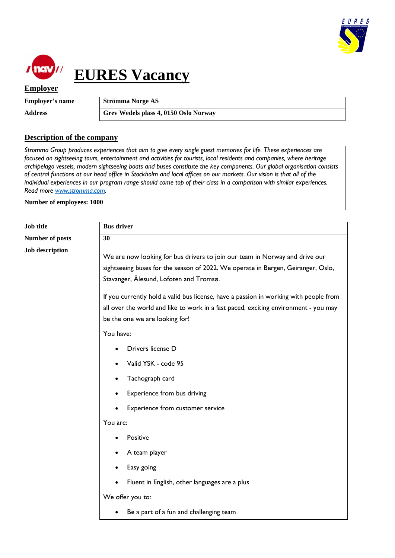



## **EURES Vacancy**

**Employer**

**Employer's name Strömma Norge AS**

Address **Grev Wedels plass 4, 0150 Oslo Norway** 

## **Description of the company**

*Stromma Group produces experiences that aim to give every single guest memories for life. These experiences are focused on sightseeing tours, entertainment and activities for tourists, local residents and companies, where heritage archipelago vessels, modern sightseeing boats and buses constitute the key components. Our global organisation consists of central functions at our head office in Stockholm and local offices on our markets. Our vision is that all of the individual experiences in our program range should come top of their class in a comparison with similar experiences. Read more [www.stromma.com.](http://www.stromma.com/)*

**Number of employees: 1000**

| Job title              | <b>Bus driver</b>                                                                                                                                                                                              |
|------------------------|----------------------------------------------------------------------------------------------------------------------------------------------------------------------------------------------------------------|
| <b>Number of posts</b> | 30                                                                                                                                                                                                             |
| <b>Job description</b> | We are now looking for bus drivers to join our team in Norway and drive our<br>sightseeing buses for the season of 2022. We operate in Bergen, Geiranger, Oslo,<br>Stavanger, Ålesund, Lofoten and Tromsø.     |
|                        | If you currently hold a valid bus license, have a passion in working with people from<br>all over the world and like to work in a fast paced, exciting environment - you may<br>be the one we are looking for! |
|                        | You have:                                                                                                                                                                                                      |
|                        | Drivers license D                                                                                                                                                                                              |
|                        | Valid YSK - code 95                                                                                                                                                                                            |
|                        | Tachograph card                                                                                                                                                                                                |
|                        | Experience from bus driving                                                                                                                                                                                    |
|                        | Experience from customer service                                                                                                                                                                               |
|                        | You are:                                                                                                                                                                                                       |
|                        | Positive                                                                                                                                                                                                       |
|                        | A team player                                                                                                                                                                                                  |
|                        | Easy going                                                                                                                                                                                                     |
|                        | Fluent in English, other languages are a plus                                                                                                                                                                  |
|                        | We offer you to:                                                                                                                                                                                               |
|                        | Be a part of a fun and challenging team                                                                                                                                                                        |